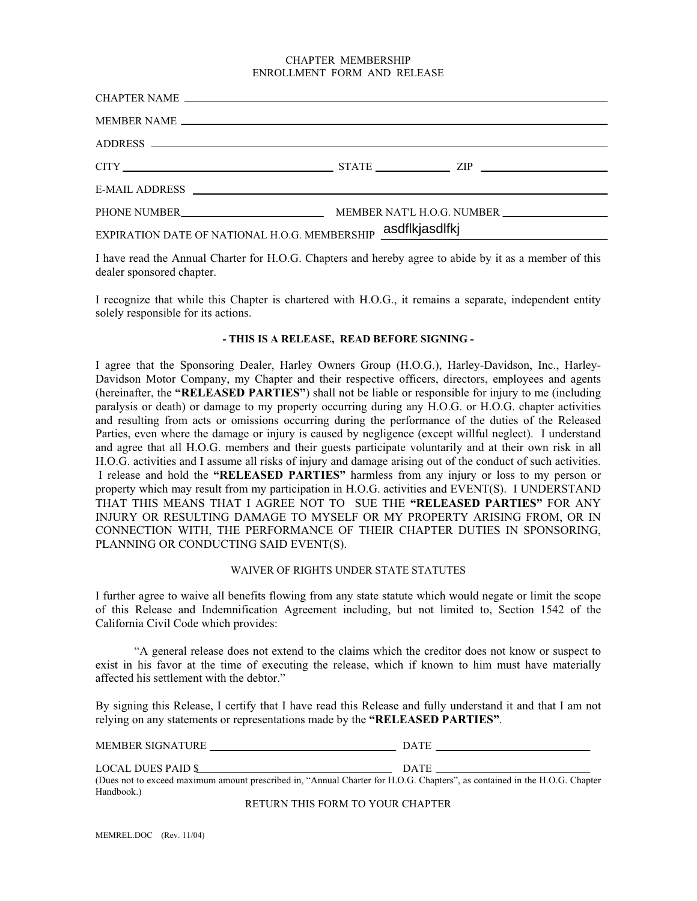#### CHAPTER MEMBERSHIP ENROLLMENT FORM AND RELEASE

| ADDRESS CONTRACT AND ARRAIGNMENT CONTRACT OF THE CONTRACT OF THE CONTRACT OF THE CONTRACT OF THE CONTRACT OF THE CONTRACT OF THE CONTRACT OF THE CONTRACT OF THE CONTRACT OF THE CONTRACT OF THE CONTRACT OF THE CONTRACT OF T |  |  |  |
|--------------------------------------------------------------------------------------------------------------------------------------------------------------------------------------------------------------------------------|--|--|--|
| $CITY$ $STATE$ $ZIP$                                                                                                                                                                                                           |  |  |  |
|                                                                                                                                                                                                                                |  |  |  |
|                                                                                                                                                                                                                                |  |  |  |
| EXPIRATION DATE OF NATIONAL H.O.G. MEMBERSHIP asdflkjasdlfkj<br>$\mathcal{L}$ and $\mathcal{L}$ are the set of $\mathcal{L}$ and $\mathcal{L}$ are the set of $\mathcal{L}$                                                    |  |  |  |

I have read the Annual Charter for H.O.G. Chapters and hereby agree to abide by it as a member of this dealer sponsored chapter.

I recognize that while this Chapter is chartered with H.O.G., it remains a separate, independent entity solely responsible for its actions.

### **- THIS IS A RELEASE, READ BEFORE SIGNING -**

I agree that the Sponsoring Dealer, Harley Owners Group (H.O.G.), Harley-Davidson, Inc., Harley-Davidson Motor Company, my Chapter and their respective officers, directors, employees and agents (hereinafter, the **"RELEASED PARTIES"**) shall not be liable or responsible for injury to me (including paralysis or death) or damage to my property occurring during any H.O.G. or H.O.G. chapter activities and resulting from acts or omissions occurring during the performance of the duties of the Released Parties, even where the damage or injury is caused by negligence (except willful neglect). I understand and agree that all H.O.G. members and their guests participate voluntarily and at their own risk in all H.O.G. activities and I assume all risks of injury and damage arising out of the conduct of such activities. I release and hold the **"RELEASED PARTIES"** harmless from any injury or loss to my person or property which may result from my participation in H.O.G. activities and EVENT(S). I UNDERSTAND THAT THIS MEANS THAT I AGREE NOT TO SUE THE **"RELEASED PARTIES"** FOR ANY INJURY OR RESULTING DAMAGE TO MYSELF OR MY PROPERTY ARISING FROM, OR IN CONNECTION WITH, THE PERFORMANCE OF THEIR CHAPTER DUTIES IN SPONSORING, PLANNING OR CONDUCTING SAID EVENT(S).

## WAIVER OF RIGHTS UNDER STATE STATUTES

I further agree to waive all benefits flowing from any state statute which would negate or limit the scope of this Release and Indemnification Agreement including, but not limited to, Section 1542 of the California Civil Code which provides:

"A general release does not extend to the claims which the creditor does not know or suspect to exist in his favor at the time of executing the release, which if known to him must have materially affected his settlement with the debtor."

By signing this Release, I certify that I have read this Release and fully understand it and that I am not relying on any statements or representations made by the **"RELEASED PARTIES"**.

| MEMBER SIGNATURE                                                                                                           | <b>DATE</b> |
|----------------------------------------------------------------------------------------------------------------------------|-------------|
| LOCAL DUES PAID \$                                                                                                         | DATE        |
| (Dues not to exceed maximum amount prescribed in, "Annual Charter for H.O.G. Chapters", as contained in the H.O.G. Chapter |             |
| Handbook.)                                                                                                                 |             |

RETURN THIS FORM TO YOUR CHAPTER